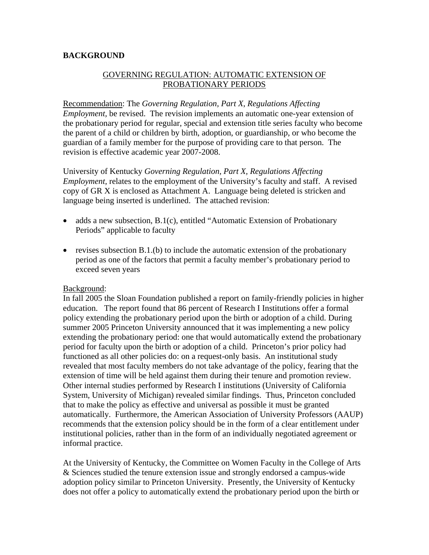## **BACKGROUND**

## GOVERNING REGULATION: AUTOMATIC EXTENSION OF PROBATIONARY PERIODS

Recommendation: The *Governing Regulation, Part X*, *Regulations Affecting Employment,* be revised. The revision implements an automatic one-year extension of the probationary period for regular, special and extension title series faculty who become the parent of a child or children by birth, adoption, or guardianship, or who become the guardian of a family member for the purpose of providing care to that person. The revision is effective academic year 2007-2008.

University of Kentucky *Governing Regulation, Part X, Regulations Affecting Employment, relates to the employment of the University's faculty and staff.* A revised copy of GR X is enclosed as Attachment A. Language being deleted is stricken and language being inserted is underlined. The attached revision:

- adds a new subsection, B.1(c), entitled "Automatic Extension of Probationary Periods" applicable to faculty
- revises subsection B.1.(b) to include the automatic extension of the probationary period as one of the factors that permit a faculty member's probationary period to exceed seven years

## Background:

In fall 2005 the Sloan Foundation published a report on family-friendly policies in higher education. The report found that 86 percent of Research I Institutions offer a formal policy extending the probationary period upon the birth or adoption of a child. During summer 2005 Princeton University announced that it was implementing a new policy extending the probationary period: one that would automatically extend the probationary period for faculty upon the birth or adoption of a child. Princeton's prior policy had functioned as all other policies do: on a request-only basis. An institutional study revealed that most faculty members do not take advantage of the policy, fearing that the extension of time will be held against them during their tenure and promotion review. Other internal studies performed by Research I institutions (University of California System, University of Michigan) revealed similar findings. Thus, Princeton concluded that to make the policy as effective and universal as possible it must be granted automatically. Furthermore, the American Association of University Professors (AAUP) recommends that the extension policy should be in the form of a clear entitlement under institutional policies, rather than in the form of an individually negotiated agreement or informal practice.

At the University of Kentucky, the Committee on Women Faculty in the College of Arts & Sciences studied the tenure extension issue and strongly endorsed a campus-wide adoption policy similar to Princeton University. Presently, the University of Kentucky does not offer a policy to automatically extend the probationary period upon the birth or